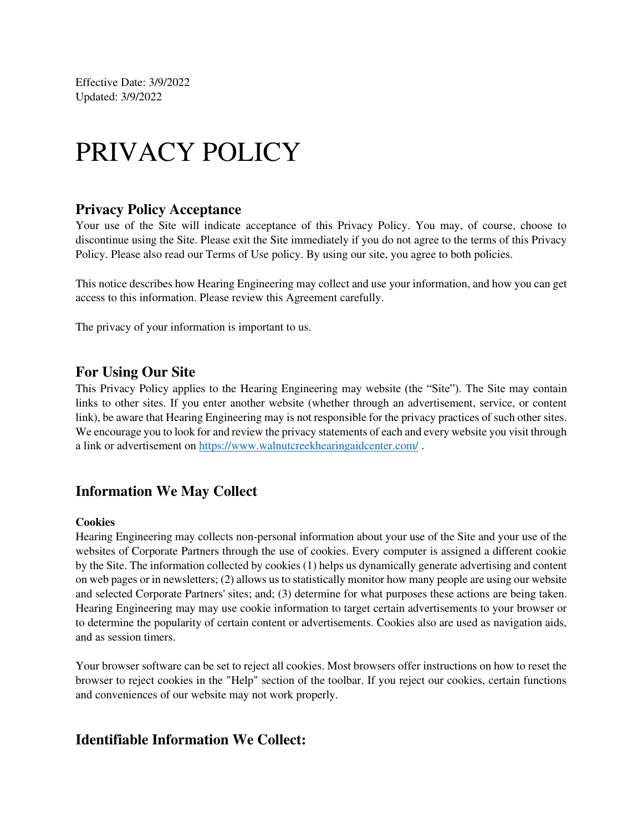Effective Date: 3/9/2022 Updated: 3/9/2022

# PRIVACY POLICY

#### **Privacy Policy Acceptance**

Your use of the Site will indicate acceptance of this Privacy Policy. You may, of course, choose to discontinue using the Site. Please exit the Site immediately if you do not agree to the terms of this Privacy Policy. Please also read our Terms of Use policy. By using our site, you agree to both policies.

This notice describes how Hearing Engineering may collect and use your information, and how you can get access to this information. Please review this Agreement carefully.

The privacy of your information is important to us.

#### **For Using Our Site**

This Privacy Policy applies to the Hearing Engineering may website (the "Site"). The Site may contain links to other sites. If you enter another website (whether through an advertisement, service, or content link), be aware that Hearing Engineering may is not responsible for the privacy practices of such other sites. We encourage you to look for and review the privacy statements of each and every website you visit through a link or advertisement on<https://www.walnutcreekhearingaidcenter.com/>.

#### **Information We May Collect**

#### **Cookies**

Hearing Engineering may collects non-personal information about your use of the Site and your use of the websites of Corporate Partners through the use of cookies. Every computer is assigned a different cookie by the Site. The information collected by cookies (1) helps us dynamically generate advertising and content on web pages or in newsletters; (2) allows us to statistically monitor how many people are using our website and selected Corporate Partners' sites; and; (3) determine for what purposes these actions are being taken. Hearing Engineering may may use cookie information to target certain advertisements to your browser or to determine the popularity of certain content or advertisements. Cookies also are used as navigation aids, and as session timers.

Your browser software can be set to reject all cookies. Most browsers offer instructions on how to reset the browser to reject cookies in the "Help" section of the toolbar. If you reject our cookies, certain functions and conveniences of our website may not work properly.

#### **Identifiable Information We Collect:**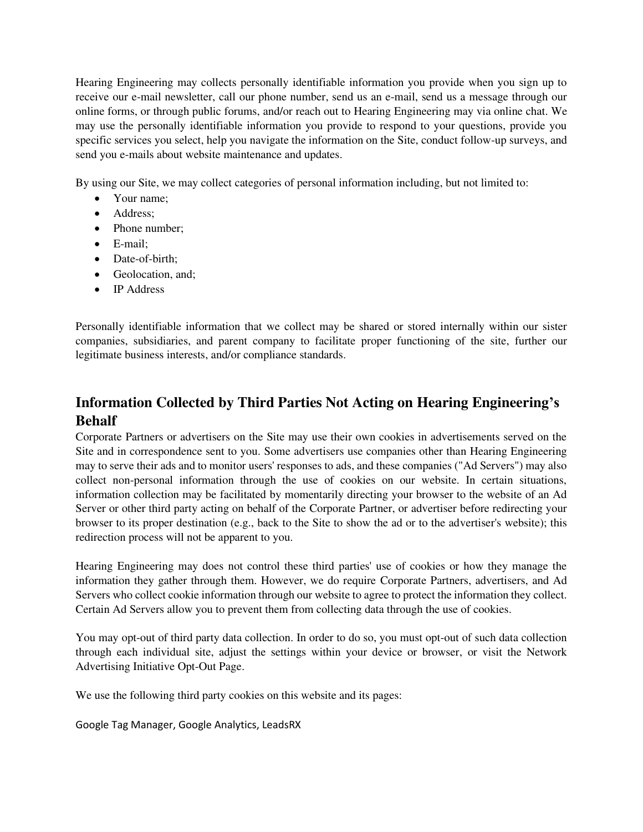Hearing Engineering may collects personally identifiable information you provide when you sign up to receive our e-mail newsletter, call our phone number, send us an e-mail, send us a message through our online forms, or through public forums, and/or reach out to Hearing Engineering may via online chat. We may use the personally identifiable information you provide to respond to your questions, provide you specific services you select, help you navigate the information on the Site, conduct follow-up surveys, and send you e-mails about website maintenance and updates.

By using our Site, we may collect categories of personal information including, but not limited to:

- Your name:
- Address;
- Phone number;
- E-mail;
- Date-of-birth:
- Geolocation, and;
- IP Address

Personally identifiable information that we collect may be shared or stored internally within our sister companies, subsidiaries, and parent company to facilitate proper functioning of the site, further our legitimate business interests, and/or compliance standards.

# **Information Collected by Third Parties Not Acting on Hearing Engineering's Behalf**

Corporate Partners or advertisers on the Site may use their own cookies in advertisements served on the Site and in correspondence sent to you. Some advertisers use companies other than Hearing Engineering may to serve their ads and to monitor users' responses to ads, and these companies ("Ad Servers") may also collect non-personal information through the use of cookies on our website. In certain situations, information collection may be facilitated by momentarily directing your browser to the website of an Ad Server or other third party acting on behalf of the Corporate Partner, or advertiser before redirecting your browser to its proper destination (e.g., back to the Site to show the ad or to the advertiser's website); this redirection process will not be apparent to you.

Hearing Engineering may does not control these third parties' use of cookies or how they manage the information they gather through them. However, we do require Corporate Partners, advertisers, and Ad Servers who collect cookie information through our website to agree to protect the information they collect. Certain Ad Servers allow you to prevent them from collecting data through the use of cookies.

You may opt-out of third party data collection. In order to do so, you must opt-out of such data collection through each individual site, adjust the settings within your device or browser, or visit the Network Advertising Initiative Opt-Out Page.

We use the following third party cookies on this website and its pages:

Google Tag Manager, Google Analytics, LeadsRX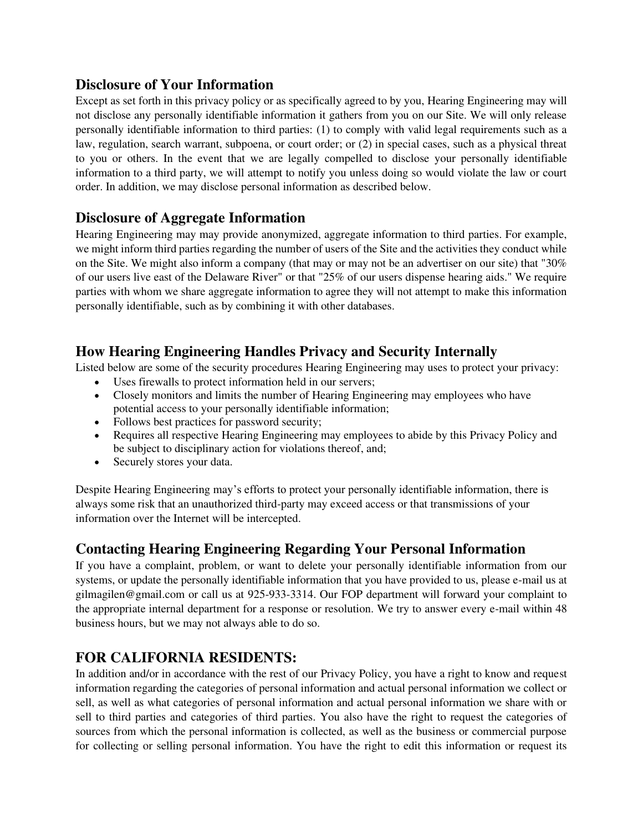## **Disclosure of Your Information**

Except as set forth in this privacy policy or as specifically agreed to by you, Hearing Engineering may will not disclose any personally identifiable information it gathers from you on our Site. We will only release personally identifiable information to third parties: (1) to comply with valid legal requirements such as a law, regulation, search warrant, subpoena, or court order; or (2) in special cases, such as a physical threat to you or others. In the event that we are legally compelled to disclose your personally identifiable information to a third party, we will attempt to notify you unless doing so would violate the law or court order. In addition, we may disclose personal information as described below.

## **Disclosure of Aggregate Information**

Hearing Engineering may may provide anonymized, aggregate information to third parties. For example, we might inform third parties regarding the number of users of the Site and the activities they conduct while on the Site. We might also inform a company (that may or may not be an advertiser on our site) that "30% of our users live east of the Delaware River" or that "25% of our users dispense hearing aids." We require parties with whom we share aggregate information to agree they will not attempt to make this information personally identifiable, such as by combining it with other databases.

## **How Hearing Engineering Handles Privacy and Security Internally**

Listed below are some of the security procedures Hearing Engineering may uses to protect your privacy:

- Uses firewalls to protect information held in our servers;
- Closely monitors and limits the number of Hearing Engineering may employees who have potential access to your personally identifiable information;
- Follows best practices for password security;
- Requires all respective Hearing Engineering may employees to abide by this Privacy Policy and be subject to disciplinary action for violations thereof, and;
- Securely stores your data.

Despite Hearing Engineering may's efforts to protect your personally identifiable information, there is always some risk that an unauthorized third-party may exceed access or that transmissions of your information over the Internet will be intercepted.

# **Contacting Hearing Engineering Regarding Your Personal Information**

If you have a complaint, problem, or want to delete your personally identifiable information from our systems, or update the personally identifiable information that you have provided to us, please e-mail us at gilmagilen@gmail.com or call us at 925-933-3314. Our FOP department will forward your complaint to the appropriate internal department for a response or resolution. We try to answer every e-mail within 48 business hours, but we may not always able to do so.

# **FOR CALIFORNIA RESIDENTS:**

In addition and/or in accordance with the rest of our Privacy Policy, you have a right to know and request information regarding the categories of personal information and actual personal information we collect or sell, as well as what categories of personal information and actual personal information we share with or sell to third parties and categories of third parties. You also have the right to request the categories of sources from which the personal information is collected, as well as the business or commercial purpose for collecting or selling personal information. You have the right to edit this information or request its